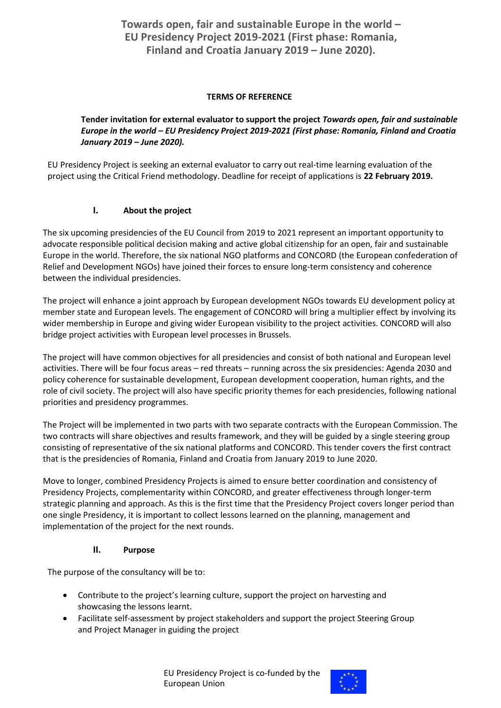# **TERMS OF REFERENCE**

### **Tender invitation for external evaluator to support the project** *Towards open, fair and sustainable Europe in the world – EU Presidency Project 2019-2021 (First phase: Romania, Finland and Croatia January 2019 – June 2020).*

EU Presidency Project is seeking an external evaluator to carry out real-time learning evaluation of the project using the Critical Friend methodology. Deadline for receipt of applications is **22 February 2019.**

# **I. About the project**

The six upcoming presidencies of the EU Council from 2019 to 2021 represent an important opportunity to advocate responsible political decision making and active global citizenship for an open, fair and sustainable Europe in the world. Therefore, the six national NGO platforms and CONCORD (the European confederation of Relief and Development NGOs) have joined their forces to ensure long-term consistency and coherence between the individual presidencies.

The project will enhance a joint approach by European development NGOs towards EU development policy at member state and European levels. The engagement of CONCORD will bring a multiplier effect by involving its wider membership in Europe and giving wider European visibility to the project activities. CONCORD will also bridge project activities with European level processes in Brussels.

The project will have common objectives for all presidencies and consist of both national and European level activities. There will be four focus areas – red threats – running across the six presidencies: Agenda 2030 and policy coherence for sustainable development, European development cooperation, human rights, and the role of civil society. The project will also have specific priority themes for each presidencies, following national priorities and presidency programmes.

The Project will be implemented in two parts with two separate contracts with the European Commission. The two contracts will share objectives and results framework, and they will be guided by a single steering group consisting of representative of the six national platforms and CONCORD. This tender covers the first contract that is the presidencies of Romania, Finland and Croatia from January 2019 to June 2020.

Move to longer, combined Presidency Projects is aimed to ensure better coordination and consistency of Presidency Projects, complementarity within CONCORD, and greater effectiveness through longer-term strategic planning and approach. As this is the first time that the Presidency Project covers longer period than one single Presidency, it is important to collect lessons learned on the planning, management and implementation of the project for the next rounds.

#### **II. Purpose**

The purpose of the consultancy will be to:  

- Contribute to the project's learning culture, support the project on harvesting and showcasing the lessons learnt.
- Facilitate self-assessment by project stakeholders and support the project Steering Group and Project Manager in guiding the project

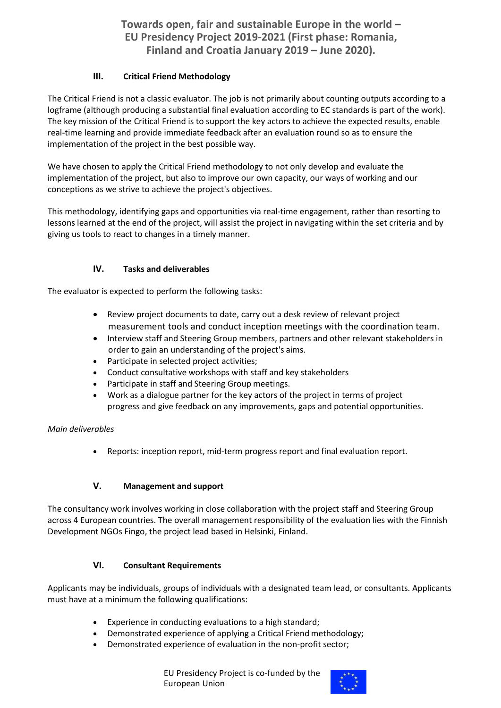**Towards open, fair and sustainable Europe in the world – EU Presidency Project 2019-2021 (First phase: Romania, Finland and Croatia January 2019 – June 2020).**

# **III. Critical Friend Methodology**

The Critical Friend is not a classic evaluator. The job is not primarily about counting outputs according to a logframe (although producing a substantial final evaluation according to EC standards is part of the work). The key mission of the Critical Friend is to support the key actors to achieve the expected results, enable real-time learning and provide immediate feedback after an evaluation round so as to ensure the implementation of the project in the best possible way.

We have chosen to apply the Critical Friend methodology to not only develop and evaluate the implementation of the project, but also to improve our own capacity, our ways of working and our conceptions as we strive to achieve the project's objectives.

This methodology, identifying gaps and opportunities via real-time engagement, rather than resorting to lessons learned at the end of the project, will assist the project in navigating within the set criteria and by giving us tools to react to changes in a timely manner.

#### **IV. Tasks and deliverables**

The evaluator is expected to perform the following tasks:

- Review project documents to date, carry out a desk review of relevant project measurement tools and conduct inception meetings with the coordination team.
- Interview staff and Steering Group members, partners and other relevant stakeholders in order to gain an understanding of the project's aims.
- Participate in selected project activities;
- Conduct consultative workshops with staff and key stakeholders
- Participate in staff and Steering Group meetings.
- Work as a dialogue partner for the key actors of the project in terms of project progress and give feedback on any improvements, gaps and potential opportunities.

#### *Main deliverables*

• Reports: inception report, mid-term progress report and final evaluation report.

# **V. Management and support**

The consultancy work involves working in close collaboration with the project staff and Steering Group across 4 European countries. The overall management responsibility of the evaluation lies with the Finnish Development NGOs Fingo, the project lead based in Helsinki, Finland. 

#### **VI. Consultant Requirements**

Applicants may be individuals, groups of individuals with a designated team lead, or consultants. Applicants must have at a minimum the following qualifications:

- Experience in conducting evaluations to a high standard;
- Demonstrated experience of applying a Critical Friend methodology;
- Demonstrated experience of evaluation in the non-profit sector;

EU Presidency Project is co-funded by the European Union

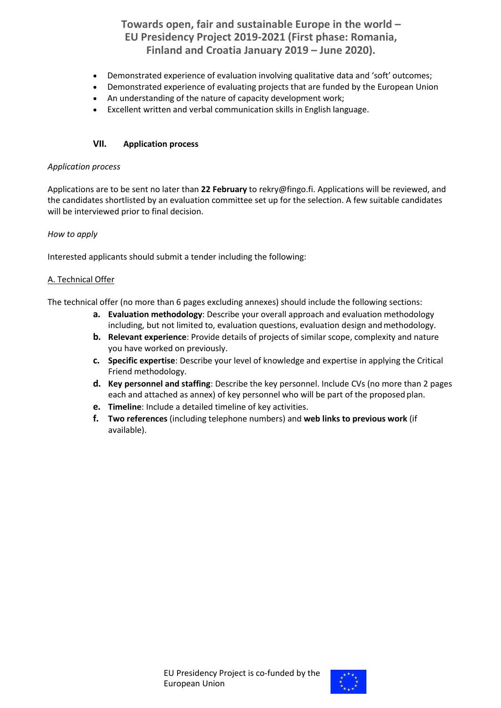**Towards open, fair and sustainable Europe in the world – EU Presidency Project 2019-2021 (First phase: Romania, Finland and Croatia January 2019 – June 2020).**

- Demonstrated experience of evaluation involving qualitative data and 'soft' outcomes;
- Demonstrated experience of evaluating projects that are funded by the European Union
- An understanding of the nature of capacity development work;
- Excellent written and verbal communication skills in English language.

#### **VII. Application process**

#### *Application process*

Applications are to be sent no later than **22 February** to rekry@fingo.fi. Applications will be reviewed, and the candidates shortlisted by an evaluation committee set up for the selection. A few suitable candidates will be interviewed prior to final decision.

#### *How to apply*

Interested applicants should submit a tender including the following:

#### A. Technical Offer

The technical offer (no more than 6 pages excluding annexes) should include the following sections:

- **a. Evaluation methodology**: Describe your overall approach and evaluation methodology including, but not limited to, evaluation questions, evaluation design and methodology.
- **b. Relevant experience**: Provide details of projects of similar scope, complexity and nature you have worked on previously.
- **c. Specific expertise**: Describe your level of knowledge and expertise in applying the Critical Friend methodology.
- **d. Key personnel and staffing**: Describe the key personnel. Include CVs (no more than 2 pages each and attached as annex) of key personnel who will be part of the proposed plan.
- **e. Timeline**: Include a detailed timeline of key activities.
- **f. Two references** (including telephone numbers) and **web links to previous work** (if available).